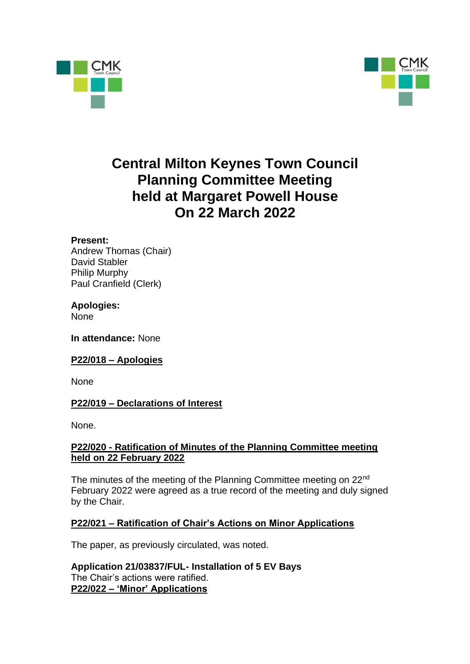



# **Central Milton Keynes Town Council Planning Committee Meeting held at Margaret Powell House On 22 March 2022**

#### **Present:**

Andrew Thomas (Chair) David Stabler Philip Murphy Paul Cranfield (Clerk)

## **Apologies:**

None

**In attendance:** None

#### **P22/018 – Apologies**

None

#### **P22/019 – Declarations of Interest**

None.

#### **P22/020 - Ratification of Minutes of the Planning Committee meeting held on 22 February 2022**

The minutes of the meeting of the Planning Committee meeting on 22nd February 2022 were agreed as a true record of the meeting and duly signed by the Chair.

## **P22/021 – Ratification of Chair's Actions on Minor Applications**

The paper, as previously circulated, was noted.

**Application 21/03837/FUL- Installation of 5 EV Bays** The Chair's actions were ratified. **P22/022 – 'Minor' Applications**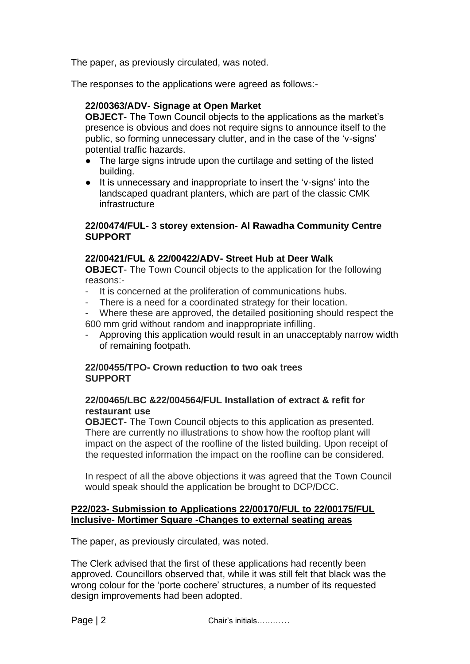The paper, as previously circulated, was noted.

The responses to the applications were agreed as follows:-

#### **22/00363/ADV- Signage at Open Market**

**OBJECT**- The Town Council objects to the applications as the market's presence is obvious and does not require signs to announce itself to the public, so forming unnecessary clutter, and in the case of the 'v-signs' potential traffic hazards.

- The large signs intrude upon the curtilage and setting of the listed building.
- It is unnecessary and inappropriate to insert the 'v-signs' into the landscaped quadrant planters, which are part of the classic CMK infrastructure

#### **22/00474/FUL- 3 storey extension- Al Rawadha Community Centre SUPPORT**

### **22/00421/FUL & 22/00422/ADV- Street Hub at Deer Walk**

**OBJECT**- The Town Council objects to the application for the following reasons:-

- It is concerned at the proliferation of communications hubs.
- There is a need for a coordinated strategy for their location.
- Where these are approved, the detailed positioning should respect the 600 mm grid without random and inappropriate infilling.
- Approving this application would result in an unacceptably narrow width of remaining footpath.

### **22/00455/TPO- Crown reduction to two oak trees SUPPORT**

### **22/00465/LBC &22/004564/FUL Installation of extract & refit for restaurant use**

**OBJECT**- The Town Council objects to this application as presented. There are currently no illustrations to show how the rooftop plant will impact on the aspect of the roofline of the listed building. Upon receipt of the requested information the impact on the roofline can be considered.

In respect of all the above objections it was agreed that the Town Council would speak should the application be brought to DCP/DCC.

### **P22/023- Submission to Applications 22/00170/FUL to 22/00175/FUL Inclusive- Mortimer Square -Changes to external seating areas**

The paper, as previously circulated, was noted.

The Clerk advised that the first of these applications had recently been approved. Councillors observed that, while it was still felt that black was the wrong colour for the 'porte cochere' structures, a number of its requested design improvements had been adopted.

Page | 2 Chair's initials…………